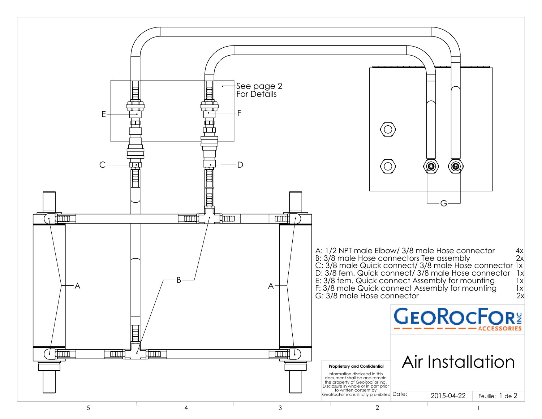